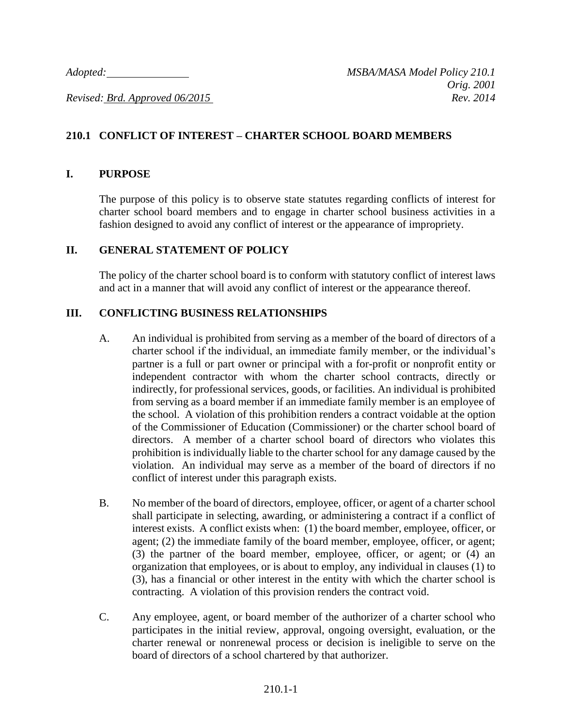# **210.1 CONFLICT OF INTEREST – CHARTER SCHOOL BOARD MEMBERS**

#### **I. PURPOSE**

The purpose of this policy is to observe state statutes regarding conflicts of interest for charter school board members and to engage in charter school business activities in a fashion designed to avoid any conflict of interest or the appearance of impropriety.

#### **II. GENERAL STATEMENT OF POLICY**

The policy of the charter school board is to conform with statutory conflict of interest laws and act in a manner that will avoid any conflict of interest or the appearance thereof.

## **III. CONFLICTING BUSINESS RELATIONSHIPS**

- A. An individual is prohibited from serving as a member of the board of directors of a charter school if the individual, an immediate family member, or the individual's partner is a full or part owner or principal with a for-profit or nonprofit entity or independent contractor with whom the charter school contracts, directly or indirectly, for professional services, goods, or facilities. An individual is prohibited from serving as a board member if an immediate family member is an employee of the school. A violation of this prohibition renders a contract voidable at the option of the Commissioner of Education (Commissioner) or the charter school board of directors. A member of a charter school board of directors who violates this prohibition is individually liable to the charter school for any damage caused by the violation. An individual may serve as a member of the board of directors if no conflict of interest under this paragraph exists.
- B. No member of the board of directors, employee, officer, or agent of a charter school shall participate in selecting, awarding, or administering a contract if a conflict of interest exists. A conflict exists when: (1) the board member, employee, officer, or agent; (2) the immediate family of the board member, employee, officer, or agent; (3) the partner of the board member, employee, officer, or agent; or (4) an organization that employees, or is about to employ, any individual in clauses (1) to (3), has a financial or other interest in the entity with which the charter school is contracting. A violation of this provision renders the contract void.
- C. Any employee, agent, or board member of the authorizer of a charter school who participates in the initial review, approval, ongoing oversight, evaluation, or the charter renewal or nonrenewal process or decision is ineligible to serve on the board of directors of a school chartered by that authorizer.